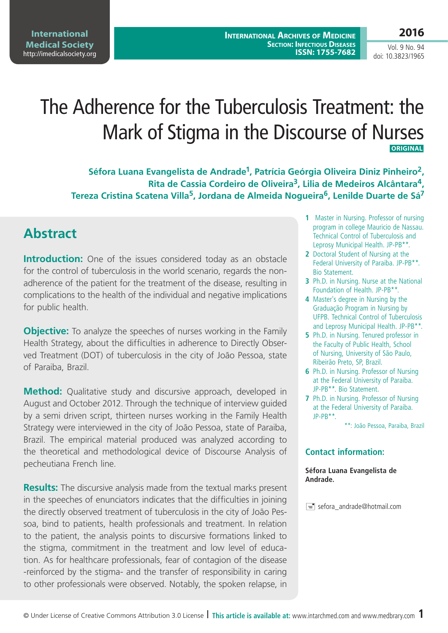# The Adherence for the Tuberculosis Treatment: the Mark of Stigma in the Discourse of Nurses **Original**

**Séfora Luana Evangelista de Andrade1, Patrícia Geórgia Oliveira Diniz Pinheiro2, Rita de Cassia Cordeiro de Oliveira3, Lilia de Medeiros Alcântara4, Tereza Cristina Scatena Villa5, Jordana de Almeida Nogueira6, Lenilde Duarte de Sá7**

# **Abstract**

**Introduction:** One of the issues considered today as an obstacle for the control of tuberculosis in the world scenario, regards the nonadherence of the patient for the treatment of the disease, resulting in complications to the health of the individual and negative implications for public health.

**Objective:** To analyze the speeches of nurses working in the Family Health Strategy, about the difficulties in adherence to Directly Observed Treatment (DOT) of tuberculosis in the city of João Pessoa, state of Paraiba, Brazil.

**Method:** Qualitative study and discursive approach, developed in August and October 2012. Through the technique of interview guided by a semi driven script, thirteen nurses working in the Family Health Strategy were interviewed in the city of João Pessoa, state of Paraiba, Brazil. The empirical material produced was analyzed according to the theoretical and methodological device of Discourse Analysis of pecheutiana French line.

**Results:** The discursive analysis made from the textual marks present in the speeches of enunciators indicates that the difficulties in joining the directly observed treatment of tuberculosis in the city of João Pessoa, bind to patients, health professionals and treatment. In relation to the patient, the analysis points to discursive formations linked to the stigma, commitment in the treatment and low level of education. As for healthcare professionals, fear of contagion of the disease -reinforced by the stigma- and the transfer of responsibility in caring to other professionals were observed. Notably, the spoken relapse, in

- **1** Master in Nursing. Professor of nursing program in college Mauricio de Nassau. Technical Control of Tuberculosis and Leprosy Municipal Health. JP-PB\*\*.
- **2** Doctoral Student of Nursing at the Federal University of Paraiba. JP-PB\*\*. Bio Statement.
- **3** Ph.D. in Nursing. Nurse at the National Foundation of Health. JP-PB\*\*.
- **4** Master's degree in Nursing by the Graduação Program in Nursing by UFPB. Technical Control of Tuberculosis and Leprosy Municipal Health. JP-PB\*\*.
- **5** Ph.D. in Nursing. Tenured professor in the Faculty of Public Health, School of Nursing, University of São Paulo, Ribeirão Preto, SP, Brazil.
- **6** Ph.D. in Nursing. Professor of Nursing at the Federal University of Paraiba. JP-PB\*\*. Bio Statement.
- **7** Ph.D. in Nursing. Professor of Nursing at the Federal University of Paraiba. JP-PB\*\*.

\*\*: João Pessoa, Paraiba, Brazil

#### **Contact information:**

**Séfora Luana Evangelista de Andrade.**

 $\equiv$  sefora\_andrade@hotmail.com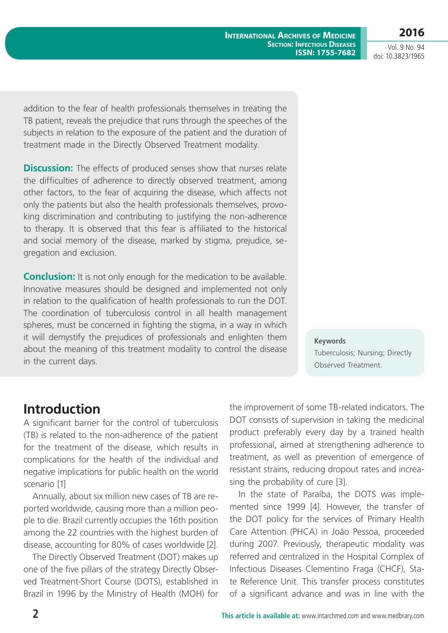Vol. 9 No. 94 doi: 10.3823/1965

addition to the fear of health professionals themselves in treating the TB patient, reveals the prejudice that runs through the speeches of the subjects in relation to the exposure of the patient and the duration of treatment made in the Directly Observed Treatment modality.

**Discussion:** The effects of produced senses show that nurses relate the difficulties of adherence to directly observed treatment, among other factors, to the fear of acquiring the disease, which affects not only the patients but also the health professionals themselves, provoking discrimination and contributing to justifying the non-adherence to therapy. It is observed that this fear is affiliated to the historical and social memory of the disease, marked by stigma, prejudice, segregation and exclusion.

**Conclusion:** It is not only enough for the medication to be available. Innovative measures should be designed and implemented not only in relation to the qualification of health professionals to run the DOT. The coordination of tuberculosis control in all health management spheres, must be concerned in fighting the stigma, in a way in which it will demystify the prejudices of professionals and enlighten them about the meaning of this treatment modality to control the disease in the current days.

**Keywords** Tuberculosis; Nursing; Directly Observed Treatment.

### **Introduction**

A significant barrier for the control of tuberculosis (TB) is related to the non-adherence of the patient for the treatment of the disease, which results in complications for the health of the individual and negative implications for public health on the world scenario [1]

Annually, about six million new cases of TB are reported worldwide, causing more than a million people to die. Brazil currently occupies the 16th position among the 22 countries with the highest burden of disease, accounting for 80% of cases worldwide [2].

The Directly Observed Treatment (DOT) makes up one of the five pillars of the strategy Directly Observed Treatment-Short Course (DOTS), established in Brazil in 1996 by the Ministry of Health (MOH) for the improvement of some TB-related indicators. The DOT consists of supervision in taking the medicinal product preferably every day by a trained health professional, aimed at strengthening adherence to treatment, as well as prevention of emergence of resistant strains, reducing dropout rates and increasing the probability of cure [3].

In the state of Paraíba, the DOTS was implemented since 1999 [4]. However, the transfer of the DOT policy for the services of Primary Health Care Attention (PHCA) in João Pessoa, proceeded during 2007. Previously, therapeutic modality was referred and centralized in the Hospital Complex of Infectious Diseases Clementino Fraga (CHCF), State Reference Unit. This transfer process constitutes of a significant advance and was in line with the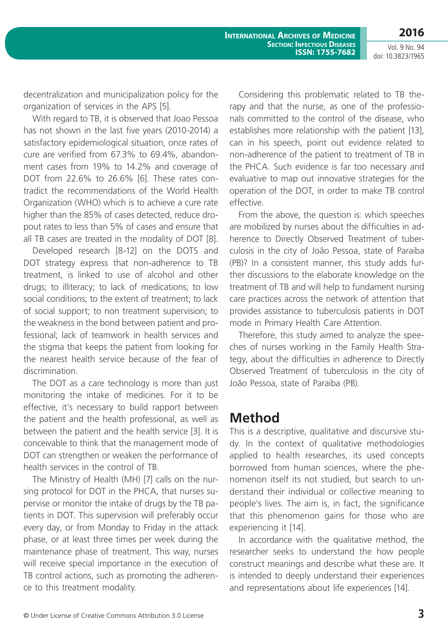decentralization and municipalization policy for the organization of services in the APS [5].

With regard to TB, it is observed that Joao Pessoa has not shown in the last five years (2010-2014) a satisfactory epidemiological situation, once rates of cure are verified from 67.3% to 69.4%, abandonment cases from 19% to 14.2% and coverage of DOT from 22.6% to 26.6% [6]. These rates contradict the recommendations of the World Health Organization (WHO) which is to achieve a cure rate higher than the 85% of cases detected, reduce dropout rates to less than 5% of cases and ensure that all TB cases are treated in the modality of DOT [8].

Developed research [8-12] on the DOTS and DOT strategy express that non-adherence to TB treatment, is linked to use of alcohol and other drugs; to illiteracy; to lack of medications; to low social conditions; to the extent of treatment; to lack of social support; to non treatment supervision; to the weakness in the bond between patient and professional; lack of teamwork in health services and the stigma that keeps the patient from looking for the nearest health service because of the fear of discrimination.

The DOT as a care technology is more than just monitoring the intake of medicines. For it to be effective, it's necessary to build rapport between the patient and the health professional, as well as between the patient and the health service [3]. It is conceivable to think that the management mode of DOT can strengthen or weaken the performance of health services in the control of TB.

The Ministry of Health (MH) [7] calls on the nursing protocol for DOT in the PHCA, that nurses supervise or monitor the intake of drugs by the TB patients in DOT. This supervision will preferably occur every day, or from Monday to Friday in the attack phase, or at least three times per week during the maintenance phase of treatment. This way, nurses will receive special importance in the execution of TB control actions, such as promoting the adherence to this treatment modality.

Considering this problematic related to TB therapy and that the nurse, as one of the professionals committed to the control of the disease, who establishes more relationship with the patient [13], can in his speech, point out evidence related to non-adherence of the patient to treatment of TB in the PHCA. Such evidence is far too necessary and evaluative to map out innovative strategies for the operation of the DOT, in order to make TB control effective.

From the above, the question is: which speeches are mobilized by nurses about the difficulties in adherence to Directly Observed Treatment of tuberculosis in the city of João Pessoa, state of Paraiba (PB)? In a consistent manner, this study adds further discussions to the elaborate knowledge on the treatment of TB and will help to fundament nursing care practices across the network of attention that provides assistance to tuberculosis patients in DOT mode in Primary Health Care Attention.

Therefore, this study aimed to analyze the speeches of nurses working in the Family Health Strategy, about the difficulties in adherence to Directly Observed Treatment of tuberculosis in the city of João Pessoa, state of Paraiba (PB).

### **Method**

This is a descriptive, qualitative and discursive study. In the context of qualitative methodologies applied to health researches, its used concepts borrowed from human sciences, where the phenomenon itself its not studied, but search to understand their individual or collective meaning to people's lives. The aim is, in fact, the significance that this phenomenon gains for those who are experiencing it [14].

In accordance with the qualitative method, the researcher seeks to understand the how people construct meanings and describe what these are. It is intended to deeply understand their experiences and representations about life experiences [14].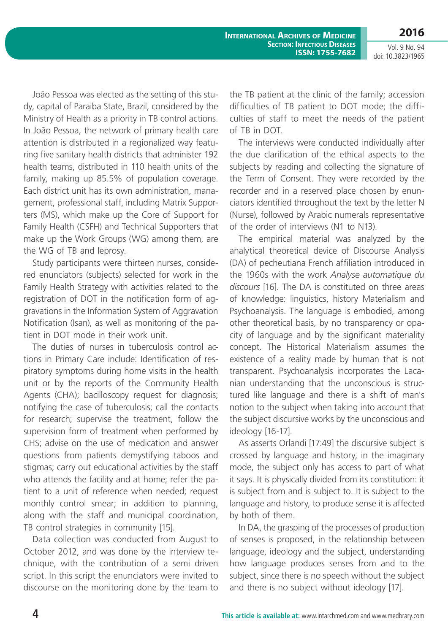**International Archives of Medicine Section: Infectious Diseases ISSN: 1755-7682**

Vol. 9 No. 94 doi: 10.3823/1965

**2016**

João Pessoa was elected as the setting of this study, capital of Paraiba State, Brazil, considered by the Ministry of Health as a priority in TB control actions. In João Pessoa, the network of primary health care attention is distributed in a regionalized way featuring five sanitary health districts that administer 192 health teams, distributed in 110 health units of the family, making up 85.5% of population coverage. Each district unit has its own administration, management, professional staff, including Matrix Supporters (MS), which make up the Core of Support for Family Health (CSFH) and Technical Supporters that make up the Work Groups (WG) among them, are the WG of TB and leprosy.

Study participants were thirteen nurses, considered enunciators (subjects) selected for work in the Family Health Strategy with activities related to the registration of DOT in the notification form of aggravations in the Information System of Aggravation Notification (Isan), as well as monitoring of the patient in DOT mode in their work unit.

The duties of nurses in tuberculosis control actions in Primary Care include: Identification of respiratory symptoms during home visits in the health unit or by the reports of the Community Health Agents (CHA); bacilloscopy request for diagnosis; notifying the case of tuberculosis; call the contacts for research; supervise the treatment, follow the supervision form of treatment when performed by CHS; advise on the use of medication and answer questions from patients demystifying taboos and stigmas; carry out educational activities by the staff who attends the facility and at home; refer the patient to a unit of reference when needed; request monthly control smear; in addition to planning, along with the staff and municipal coordination, TB control strategies in community [15].

Data collection was conducted from August to October 2012, and was done by the interview technique, with the contribution of a semi driven script. In this script the enunciators were invited to discourse on the monitoring done by the team to the TB patient at the clinic of the family; accession difficulties of TB patient to DOT mode; the difficulties of staff to meet the needs of the patient of TB in DOT.

The interviews were conducted individually after the due clarification of the ethical aspects to the subjects by reading and collecting the signature of the Term of Consent. They were recorded by the recorder and in a reserved place chosen by enunciators identified throughout the text by the letter N (Nurse), followed by Arabic numerals representative of the order of interviews (N1 to N13).

The empirical material was analyzed by the analytical theoretical device of Discourse Analysis (DA) of pecheutiana French affiliation introduced in the 1960s with the work *Analyse automatique du discours* [16]. The DA is constituted on three areas of knowledge: linguistics, history Materialism and Psychoanalysis. The language is embodied, among other theoretical basis, by no transparency or opacity of language and by the significant materiality concept. The Historical Materialism assumes the existence of a reality made by human that is not transparent. Psychoanalysis incorporates the Lacanian understanding that the unconscious is structured like language and there is a shift of man's notion to the subject when taking into account that the subject discursive works by the unconscious and ideology [16-17].

As asserts Orlandi [17:49] the discursive subject is crossed by language and history, in the imaginary mode, the subject only has access to part of what it says. It is physically divided from its constitution: it is subject from and is subject to. It is subject to the language and history, to produce sense it is affected by both of them.

In DA, the grasping of the processes of production of senses is proposed, in the relationship between language, ideology and the subject, understanding how language produces senses from and to the subject, since there is no speech without the subject and there is no subject without ideology [17].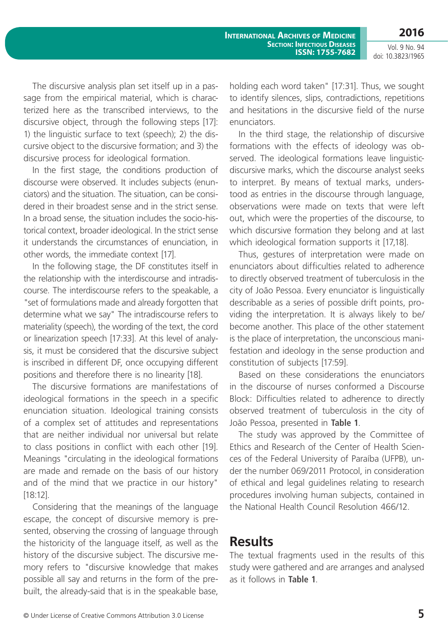Vol. 9 No. 94 doi: 10.3823/1965

The discursive analysis plan set itself up in a passage from the empirical material, which is characterized here as the transcribed interviews, to the discursive object, through the following steps [17]: 1) the linguistic surface to text (speech); 2) the discursive object to the discursive formation; and 3) the discursive process for ideological formation.

In the first stage, the conditions production of discourse were observed. It includes subjects (enunciators) and the situation. The situation, can be considered in their broadest sense and in the strict sense. In a broad sense, the situation includes the socio-historical context, broader ideological. In the strict sense it understands the circumstances of enunciation, in other words, the immediate context [17].

In the following stage, the DF constitutes itself in the relationship with the interdiscourse and intradiscourse. The interdiscourse refers to the speakable, a "set of formulations made and already forgotten that determine what we say" The intradiscourse refers to materiality (speech), the wording of the text, the cord or linearization speech [17:33]. At this level of analysis, it must be considered that the discursive subject is inscribed in different DF, once occupying different positions and therefore there is no linearity [18].

The discursive formations are manifestations of ideological formations in the speech in a specific enunciation situation. Ideological training consists of a complex set of attitudes and representations that are neither individual nor universal but relate to class positions in conflict with each other [19]. Meanings "circulating in the ideological formations are made and remade on the basis of our history and of the mind that we practice in our history" [18:12].

Considering that the meanings of the language escape, the concept of discursive memory is presented, observing the crossing of language through the historicity of the language itself, as well as the history of the discursive subject. The discursive memory refers to "discursive knowledge that makes possible all say and returns in the form of the prebuilt, the already-said that is in the speakable base,

holding each word taken" [17:31]. Thus, we sought to identify silences, slips, contradictions, repetitions and hesitations in the discursive field of the nurse enunciators.

In the third stage, the relationship of discursive formations with the effects of ideology was observed. The ideological formations leave linguisticdiscursive marks, which the discourse analyst seeks to interpret. By means of textual marks, understood as entries in the discourse through language, observations were made on texts that were left out, which were the properties of the discourse, to which discursive formation they belong and at last which ideological formation supports it [17,18].

Thus, gestures of interpretation were made on enunciators about difficulties related to adherence to directly observed treatment of tuberculosis in the city of João Pessoa. Every enunciator is linguistically describable as a series of possible drift points, providing the interpretation. It is always likely to be/ become another. This place of the other statement is the place of interpretation, the unconscious manifestation and ideology in the sense production and constitution of subjects [17:59].

Based on these considerations the enunciators in the discourse of nurses conformed a Discourse Block: Difficulties related to adherence to directly observed treatment of tuberculosis in the city of João Pessoa, presented in **Table 1**.

The study was approved by the Committee of Ethics and Research of the Center of Health Sciences of the Federal University of Paraíba (UFPB), under the number 069/2011 Protocol, in consideration of ethical and legal guidelines relating to research procedures involving human subjects, contained in the National Health Council Resolution 466/12.

# **Results**

The textual fragments used in the results of this study were gathered and are arranges and analysed as it follows in **Table 1**.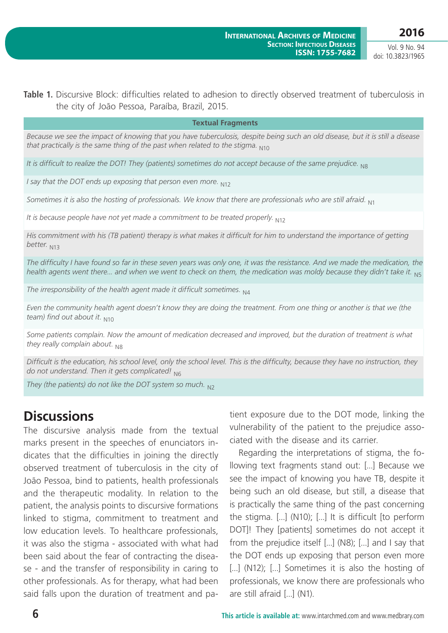Table 1. Discursive Block: difficulties related to adhesion to directly observed treatment of tuberculosis in the city of João Pessoa, Paraíba, Brazil, 2015.

#### **Textual Fragments**

*Because we see the impact of knowing that you have tuberculosis, despite being such an old disease, but it is still a disease that practically is the same thing of the past when related to the stigma.* N10

*It is difficult to realize the DOT! They (patients) sometimes do not accept because of the same prejudice.* N8

*I say that the DOT ends up exposing that person even more.* N12

*Sometimes it is also the hosting of professionals. We know that there are professionals who are still afraid.* N1

*It is because people have not yet made a commitment to be treated properly.* N12

*His commitment with his (TB patient) therapy is what makes it difficult for him to understand the importance of getting better.* N13

*The difficulty I have found so far in these seven years was only one, it was the resistance. And we made the medication, the health agents went there... and when we went to check on them, the medication was moldy because they didn't take it.* N5

*The irresponsibility of the health agent made it difficult sometimes.* N4

*Even the community health agent doesn't know they are doing the treatment. From one thing or another is that we (the team)* find out about it. N10

Some patients complain. Now the amount of medication decreased and improved, but the duration of treatment is what *they really complain about.* N8

*Difficult is the education, his school level, only the school level. This is the difficulty, because they have no instruction, they do not understand. Then it gets complicated!* N6

*They (the patients) do not like the DOT system so much.* N<sub>2</sub>

## **Discussions**

The discursive analysis made from the textual marks present in the speeches of enunciators indicates that the difficulties in joining the directly observed treatment of tuberculosis in the city of João Pessoa, bind to patients, health professionals and the therapeutic modality. In relation to the patient, the analysis points to discursive formations linked to stigma, commitment to treatment and low education levels. To healthcare professionals, it was also the stigma - associated with what had been said about the fear of contracting the disease - and the transfer of responsibility in caring to other professionals. As for therapy, what had been said falls upon the duration of treatment and patient exposure due to the DOT mode, linking the vulnerability of the patient to the prejudice associated with the disease and its carrier.

Regarding the interpretations of stigma, the following text fragments stand out: [...] Because we see the impact of knowing you have TB, despite it being such an old disease, but still, a disease that is practically the same thing of the past concerning the stigma. [...] (N10); [...] It is difficult [to perform DOT]! They [patients] sometimes do not accept it from the prejudice itself [...] (N8); [...] and I say that the DOT ends up exposing that person even more [...] (N12); [...] Sometimes it is also the hosting of professionals, we know there are professionals who are still afraid [...] (N1).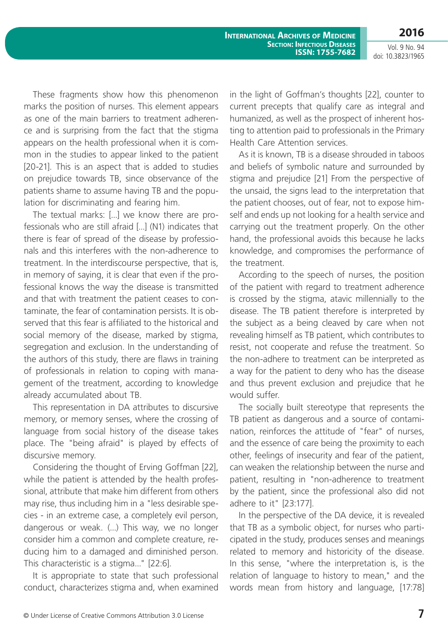**2016**

These fragments show how this phenomenon marks the position of nurses. This element appears as one of the main barriers to treatment adherence and is surprising from the fact that the stigma appears on the health professional when it is common in the studies to appear linked to the patient [20-21]. This is an aspect that is added to studies on prejudice towards TB, since observance of the patients shame to assume having TB and the population for discriminating and fearing him.

The textual marks: [...] we know there are professionals who are still afraid [...] (N1) indicates that there is fear of spread of the disease by professionals and this interferes with the non-adherence to treatment. In the interdiscourse perspective, that is, in memory of saying, it is clear that even if the professional knows the way the disease is transmitted and that with treatment the patient ceases to contaminate, the fear of contamination persists. It is observed that this fear is affiliated to the historical and social memory of the disease, marked by stigma, segregation and exclusion. In the understanding of the authors of this study, there are flaws in training of professionals in relation to coping with management of the treatment, according to knowledge already accumulated about TB.

This representation in DA attributes to discursive memory, or memory senses, where the crossing of language from social history of the disease takes place. The "being afraid" is played by effects of discursive memory.

Considering the thought of Erving Goffman [22], while the patient is attended by the health professional, attribute that make him different from others may rise, thus including him in a "less desirable species - in an extreme case, a completely evil person, dangerous or weak. (...) This way, we no longer consider him a common and complete creature, reducing him to a damaged and diminished person. This characteristic is a stigma..." [22:6].

It is appropriate to state that such professional conduct, characterizes stigma and, when examined in the light of Goffman's thoughts [22], counter to current precepts that qualify care as integral and humanized, as well as the prospect of inherent hosting to attention paid to professionals in the Primary Health Care Attention services.

As it is known, TB is a disease shrouded in taboos and beliefs of symbolic nature and surrounded by stigma and prejudice [21] From the perspective of the unsaid, the signs lead to the interpretation that the patient chooses, out of fear, not to expose himself and ends up not looking for a health service and carrying out the treatment properly. On the other hand, the professional avoids this because he lacks knowledge, and compromises the performance of the treatment.

According to the speech of nurses, the position of the patient with regard to treatment adherence is crossed by the stigma, atavic millennially to the disease. The TB patient therefore is interpreted by the subject as a being cleaved by care when not revealing himself as TB patient, which contributes to resist, not cooperate and refuse the treatment. So the non-adhere to treatment can be interpreted as a way for the patient to deny who has the disease and thus prevent exclusion and prejudice that he would suffer.

The socially built stereotype that represents the TB patient as dangerous and a source of contamination, reinforces the attitude of "fear" of nurses, and the essence of care being the proximity to each other, feelings of insecurity and fear of the patient, can weaken the relationship between the nurse and patient, resulting in "non-adherence to treatment by the patient, since the professional also did not adhere to it" [23:177].

In the perspective of the DA device, it is revealed that TB as a symbolic object, for nurses who participated in the study, produces senses and meanings related to memory and historicity of the disease. In this sense, "where the interpretation is, is the relation of language to history to mean," and the words mean from history and language, [17:78]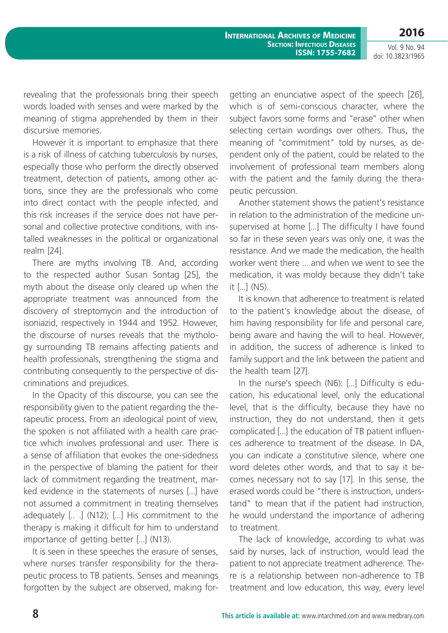**2016** Vol. 9 No. 94

doi: 10.3823/1965

revealing that the professionals bring their speech words loaded with senses and were marked by the meaning of stigma apprehended by them in their discursive memories.

However it is important to emphasize that there is a risk of illness of catching tuberculosis by nurses, especially those who perform the directly observed treatment, detection of patients, among other actions, since they are the professionals who come into direct contact with the people infected, and this risk increases if the service does not have personal and collective protective conditions, with installed weaknesses in the political or organizational realm [24].

There are myths involving TB. And, according to the respected author Susan Sontag [25], the myth about the disease only cleared up when the appropriate treatment was announced from the discovery of streptomycin and the introduction of isoniazid, respectively in 1944 and 1952. However, the discourse of nurses reveals that the mythology surrounding TB remains affecting patients and health professionals, strengthening the stigma and contributing consequently to the perspective of discriminations and prejudices.

In the Opacity of this discourse, you can see the responsibility given to the patient regarding the therapeutic process. From an ideological point of view, the spoken is not affiliated with a health care practice which involves professional and user. There is a sense of affiliation that evokes the one-sidedness in the perspective of blaming the patient for their lack of commitment regarding the treatment, marked evidence in the statements of nurses [...] have not assumed a commitment in treating themselves adequately [.. .] (N12); [...] His commitment to the therapy is making it difficult for him to understand importance of getting better [...] (N13).

It is seen in these speeches the erasure of senses, where nurses transfer responsibility for the therapeutic process to TB patients. Senses and meanings forgotten by the subject are observed, making forgetting an enunciative aspect of the speech [26], which is of semi-conscious character, where the subject favors some forms and "erase" other when selecting certain wordings over others. Thus, the meaning of "commitment" told by nurses, as dependent only of the patient, could be related to the involvement of professional team members along with the patient and the family during the therapeutic percussion.

Another statement shows the patient's resistance in relation to the administration of the medicine unsupervised at home [...] The difficulty I have found so far in these seven years was only one, it was the resistance. And we made the medication, the health worker went there ... and when we went to see the medication, it was moldy because they didn't take it [...] (N5).

It is known that adherence to treatment is related to the patient's knowledge about the disease, of him having responsibility for life and personal care, being aware and having the will to heal. However, in addition, the success of adherence is linked to family support and the link between the patient and the health team [27].

In the nurse's speech (N6): [...] Difficulty is education, his educational level, only the educational level, that is the difficulty, because they have no instruction, they do not understand, then it gets complicated [...] the education of TB patient influences adherence to treatment of the disease. In DA, you can indicate a constitutive silence, where one word deletes other words, and that to say it becomes necessary not to say [17]. In this sense, the erased words could be "there is instruction, understand" to mean that if the patient had instruction, he would understand the importance of adhering to treatment.

The lack of knowledge, according to what was said by nurses, lack of instruction, would lead the patient to not appreciate treatment adherence. There is a relationship between non-adherence to TB treatment and low education, this way, every level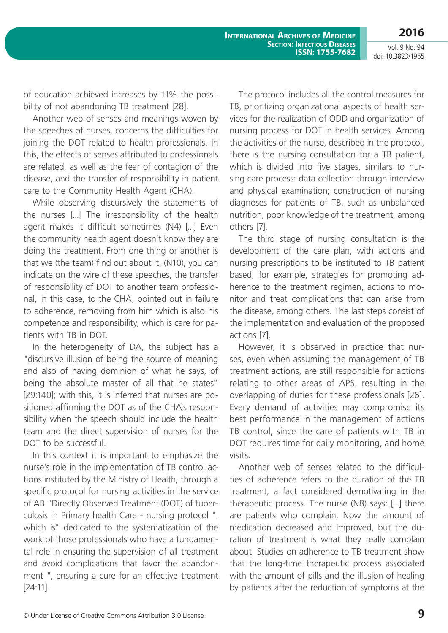Vol. 9 No. 94 doi: 10.3823/1965

of education achieved increases by 11% the possibility of not abandoning TB treatment [28].

Another web of senses and meanings woven by the speeches of nurses, concerns the difficulties for joining the DOT related to health professionals. In this, the effects of senses attributed to professionals are related, as well as the fear of contagion of the disease, and the transfer of responsibility in patient care to the Community Health Agent (CHA).

While observing discursively the statements of the nurses [...] The irresponsibility of the health agent makes it difficult sometimes (N4) [...] Even the community health agent doesn't know they are doing the treatment. From one thing or another is that we (the team) find out about it. (N10), you can indicate on the wire of these speeches, the transfer of responsibility of DOT to another team professional, in this case, to the CHA, pointed out in failure to adherence, removing from him which is also his competence and responsibility, which is care for patients with TB in DOT.

In the heterogeneity of DA, the subject has a "discursive illusion of being the source of meaning and also of having dominion of what he says, of being the absolute master of all that he states" [29:140]; with this, it is inferred that nurses are positioned affirming the DOT as of the CHA`s responsibility when the speech should include the health team and the direct supervision of nurses for the DOT to be successful.

In this context it is important to emphasize the nurse's role in the implementation of TB control actions instituted by the Ministry of Health, through a specific protocol for nursing activities in the service of AB "Directly Observed Treatment (DOT) of tuberculosis in Primary health Care - nursing protocol ", which is" dedicated to the systematization of the work of those professionals who have a fundamental role in ensuring the supervision of all treatment and avoid complications that favor the abandonment ", ensuring a cure for an effective treatment [24:11].

The protocol includes all the control measures for TB, prioritizing organizational aspects of health services for the realization of ODD and organization of nursing process for DOT in health services. Among the activities of the nurse, described in the protocol, there is the nursing consultation for a TB patient, which is divided into five stages, similars to nursing care process: data collection through interview and physical examination; construction of nursing diagnoses for patients of TB, such as unbalanced nutrition, poor knowledge of the treatment, among others [7].

The third stage of nursing consultation is the development of the care plan, with actions and nursing prescriptions to be instituted to TB patient based, for example, strategies for promoting adherence to the treatment regimen, actions to monitor and treat complications that can arise from the disease, among others. The last steps consist of the implementation and evaluation of the proposed actions [7].

However, it is observed in practice that nurses, even when assuming the management of TB treatment actions, are still responsible for actions relating to other areas of APS, resulting in the overlapping of duties for these professionals [26]. Every demand of activities may compromise its best performance in the management of actions TB control, since the care of patients with TB in DOT requires time for daily monitoring, and home visits.

Another web of senses related to the difficulties of adherence refers to the duration of the TB treatment, a fact considered demotivating in the therapeutic process. The nurse (N8) says: [...] there are patients who complain. Now the amount of medication decreased and improved, but the duration of treatment is what they really complain about. Studies on adherence to TB treatment show that the long-time therapeutic process associated with the amount of pills and the illusion of healing by patients after the reduction of symptoms at the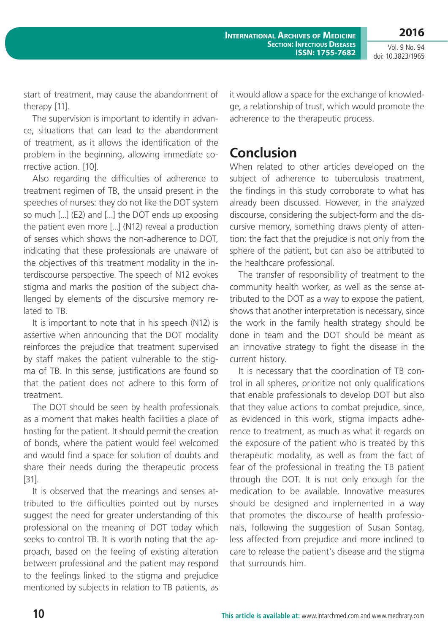Vol. 9 No. 94 doi: 10.3823/1965

start of treatment, may cause the abandonment of therapy [11].

The supervision is important to identify in advance, situations that can lead to the abandonment of treatment, as it allows the identification of the problem in the beginning, allowing immediate corrective action. [10].

Also regarding the difficulties of adherence to treatment regimen of TB, the unsaid present in the speeches of nurses: they do not like the DOT system so much [...] (E2) and [...] the DOT ends up exposing the patient even more [...] (N12) reveal a production of senses which shows the non-adherence to DOT, indicating that these professionals are unaware of the objectives of this treatment modality in the interdiscourse perspective. The speech of N12 evokes stigma and marks the position of the subject challenged by elements of the discursive memory related to TB.

It is important to note that in his speech (N12) is assertive when announcing that the DOT modality reinforces the prejudice that treatment supervised by staff makes the patient vulnerable to the stigma of TB. In this sense, justifications are found so that the patient does not adhere to this form of treatment.

The DOT should be seen by health professionals as a moment that makes health facilities a place of hosting for the patient. It should permit the creation of bonds, where the patient would feel welcomed and would find a space for solution of doubts and share their needs during the therapeutic process [31].

It is observed that the meanings and senses attributed to the difficulties pointed out by nurses suggest the need for greater understanding of this professional on the meaning of DOT today which seeks to control TB. It is worth noting that the approach, based on the feeling of existing alteration between professional and the patient may respond to the feelings linked to the stigma and prejudice mentioned by subjects in relation to TB patients, as it would allow a space for the exchange of knowledge, a relationship of trust, which would promote the adherence to the therapeutic process.

# **Conclusion**

When related to other articles developed on the subject of adherence to tuberculosis treatment, the findings in this study corroborate to what has already been discussed. However, in the analyzed discourse, considering the subject-form and the discursive memory, something draws plenty of attention: the fact that the prejudice is not only from the sphere of the patient, but can also be attributed to the healthcare professional.

The transfer of responsibility of treatment to the community health worker, as well as the sense attributed to the DOT as a way to expose the patient, shows that another interpretation is necessary, since the work in the family health strategy should be done in team and the DOT should be meant as an innovative strategy to fight the disease in the current history.

It is necessary that the coordination of TB control in all spheres, prioritize not only qualifications that enable professionals to develop DOT but also that they value actions to combat prejudice, since, as evidenced in this work, stigma impacts adherence to treatment, as much as what it regards on the exposure of the patient who is treated by this therapeutic modality, as well as from the fact of fear of the professional in treating the TB patient through the DOT. It is not only enough for the medication to be available. Innovative measures should be designed and implemented in a way that promotes the discourse of health professionals, following the suggestion of Susan Sontag, less affected from prejudice and more inclined to care to release the patient's disease and the stigma that surrounds him.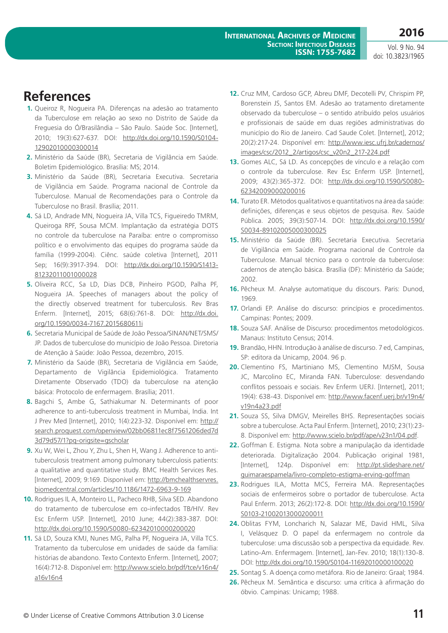## **References**

- **1.** Queiroz R, Nogueira PA. Diferenças na adesão ao tratamento da Tuberculose em relação ao sexo no Distrito de Saúde da Freguesia do Ó/Brasilândia – São Paulo. Saúde Soc. [Internet], 2010; 19(3):627-637. DOI: [http://dx.doi.org/10.1590/S0104-](http://dx.doi.org/10.1590/S0104-12902010000300014) [12902010000300014](http://dx.doi.org/10.1590/S0104-12902010000300014)
- **2.** Ministério da Saúde (BR), Secretaria de Vigilância em Saúde. Boletim Epidemiológico. Brasília: MS; 2014.
- **3.** Ministério da Saúde (BR), Secretaria Executiva. Secretaria de Vigilância em Saúde. Programa nacional de Controle da Tuberculose. Manual de Recomendações para o Controle da Tuberculose no Brasil. Brasília; 2011.
- **4.** Sá LD, Andrade MN, Nogueira JA, Villa TCS, Figueiredo TMRM, Queiroga RPF, Sousa MCM. Implantação da estratégia DOTS no controle da tuberculose na Paraíba: entre o compromisso político e o envolvimento das equipes do programa saúde da família (1999-2004). Ciênc. saúde coletiva [Internet], 2011 Sep; 16(9):3917-394. DOI: [http://dx.doi.org/10.1590/S1413-](http://dx.doi.org/10.1590/S1413-81232011001000028) [81232011001000028](http://dx.doi.org/10.1590/S1413-81232011001000028)
- **5.** Oliveira RCC, Sa LD, Dias DCB, Pinheiro PGOD, Palha PF, Nogueira JA. Speeches of managers about the policy of the directly observed treatment for tuberculosis. Rev Bras Enferm. [Internet], 2015; 68(6):761-8. DOI: [http://dx.doi.](http://dx.doi.org/10.1590/0034-7167.2015680611i) [org/10.1590/0034-7167.2015680611i](http://dx.doi.org/10.1590/0034-7167.2015680611i)
- **6.** Secretaria Municipal de Saúde de João Pessoa/SINAN/NET/SMS/ JP. Dados de tuberculose do município de João Pessoa. Diretoria de Atenção à Saúde: João Pessoa, dezembro, 2015.
- **7.** Ministério da Saúde (BR), Secretaria de Vigilância em Saúde, Departamento de Vigilância Epidemiológica. Tratamento Diretamente Observado (TDO) da tuberculose na atenção básica: Protocolo de enfermagem. Brasília; 2011.
- **8.** Bagchi S, Ambe G, Sathiakumar N. Determinants of poor adherence to anti-tuberculosis treatment in Mumbai, India. Int J Prev Med [Internet], 2010; 1(4):223-32. Disponível em: [http://](http://search.proquest.com/openview/02bb06811ec8f7561206ded7d3d79d57/1?pq-origsite=gscholar) [search.proquest.com/openview/02bb06811ec8f7561206ded7d](http://search.proquest.com/openview/02bb06811ec8f7561206ded7d3d79d57/1?pq-origsite=gscholar) [3d79d57/1?pq-origsite=gscholar](http://search.proquest.com/openview/02bb06811ec8f7561206ded7d3d79d57/1?pq-origsite=gscholar)
- **9.** Xu W, Wei L, Zhou Y, Zhu L, Shen H, Wang J. Adherence to antituberculosis treatment among pulmonary tuberculosis patients: a qualitative and quantitative study. BMC Health Services Res. [Internet], 2009; 9:169. Disponível em: [http://bmchealthservres.](http://bmchealthservres.biomedcentral.com/articles/10.1186/1472-6963-9-169) [biomedcentral.com/articles/10.1186/1472-6963-9-169](http://bmchealthservres.biomedcentral.com/articles/10.1186/1472-6963-9-169)
- **10.** Rodrigues IL A, Monteiro LL, Pacheco RHB, Silva SED. Abandono do tratamento de tuberculose em co-infectados TB/HIV. Rev Esc Enferm USP. [Internet], 2010 June; 44(2):383-387. DOI: <http://dx.doi.org/10.1590/S0080-62342010000200020>
- **11.** Sá LD, Souza KMJ, Nunes MG, Palha PF, Nogueira JA, Villa TCS. Tratamento da tuberculose em unidades de saúde da família: histórias de abandono. Texto Contexto Enferm. [Internet], 2007; 16(4):712-8. Disponível em: [http://www.scielo.br/pdf/tce/v16n4/](http://www.scielo.br/pdf/tce/v16n4/a16v16n4) [a16v16n4](http://www.scielo.br/pdf/tce/v16n4/a16v16n4)
- **12.** Cruz MM, Cardoso GCP, Abreu DMF, Decotelli PV, Chrispim PP, Borenstein JS, Santos EM. Adesão ao tratamento diretamente observado da tuberculose – o sentido atribuído pelos usuários e profissionais de saúde em duas regiões administrativas do município do Rio de Janeiro. Cad Saude Colet. [Internet], 2012; 20(2):217-24. Disponível em: [http://www.iesc.ufrj.br/cadernos/](http://www.iesc.ufrj.br/cadernos/images/csc/2012_2/artigos/csc_v20n2_217-224.pdf) [images/csc/2012\\_2/artigos/csc\\_v20n2\\_217-224.pdf](http://www.iesc.ufrj.br/cadernos/images/csc/2012_2/artigos/csc_v20n2_217-224.pdf)
- **13.** Gomes ALC, Sá LD. As concepções de vínculo e a relação com o controle da tuberculose. Rev Esc Enferm USP. [Internet], 2009; 43(2):365-372. DOI: [http://dx.doi.org/10.1590/S0080-](http://dx.doi.org/10.1590/S0080-62342009000200016) [62342009000200016](http://dx.doi.org/10.1590/S0080-62342009000200016)
- **14.** Turato ER. Métodos qualitativos e quantitativos na área da saúde: definições, diferenças e seus objetos de pesquisa. Rev. Saúde Pública. 2005; 39(3):507-14. DOI: [http://dx.doi.org/10.1590/](http://dx.doi.org/10.1590/S0034-89102005000300025) [S0034-89102005000300025](http://dx.doi.org/10.1590/S0034-89102005000300025)
- **15.** Ministério da Saúde (BR). Secretaria Executiva. Secretaria de Vigilância em Saúde. Programa nacional de Controle da Tuberculose. Manual técnico para o controle da tuberculose: cadernos de atenção básica. Brasília (DF): Ministério da Saúde; 2002.
- **16.** Pêcheux M. Analyse automatique du discours. Paris: Dunod, 1969.
- **17.** Orlandi EP. Análise do discurso: princípios e procedimentos. Campinas: Pontes; 2009.
- **18.** Souza SAF. Análise de Discurso: procedimentos metodológicos. Manaus: Instituto Census; 2014.
- **19.** Brandão, HHN. Introdução à análise de discurso. 7 ed, Campinas, SP: editora da Unicamp, 2004. 96 p.
- **20.** Clementino FS, Martiniano MS, Clementino MJSM, Sousa JC, Marcolino EC, Miranda FAN. Tuberculose: desvendando conflitos pessoais e sociais. Rev Enferm UERJ. [Internet], 2011; 19(4): 638-43. Disponível em: [http://www.facenf.uerj.br/v19n4/](http://www.facenf.uerj.br/v19n4/v19n4a23.pdf) [v19n4a23.pdf](http://www.facenf.uerj.br/v19n4/v19n4a23.pdf)
- **21.** Souza SS, Silva DMGV, Meirelles BHS. Representações sociais sobre a tuberculose. Acta Paul Enferm. [Internet], 2010; 23(1):23- 8. Disponível em: <http://www.scielo.br/pdf/ape/v23n1/04.pdf>.
- **22.** Goffman E. Estigma. Nota sobre a manipulação da identidade deteriorada. Digitalização 2004. Publicação original 1981, [Internet], 124p. Disponível em: [http://pt.slideshare.net/](http://pt.slideshare.net/guimaraespamela/livro-completo-estigma-erving-goffman) [guimaraespamela/livro-completo-estigma-erving-goffman](http://pt.slideshare.net/guimaraespamela/livro-completo-estigma-erving-goffman)
- **23.** Rodrigues ILA, Motta MCS, Ferreira MA. Representações sociais de enfermeiros sobre o portador de tuberculose. Acta Paul Enferm. 2013; 26(2):172-8. DOI: [http://dx.doi.org/10.1590/](http://dx.doi.org/10.1590/S0103-21002013000200011) [S0103-21002013000200011](http://dx.doi.org/10.1590/S0103-21002013000200011)
- **24.** Oblitas FYM, Loncharich N, Salazar ME, David HML, Silva I, Velásquez D. O papel da enfermagem no controle da tuberculose: uma discussão sob a perspectiva da equidade. Rev. Latino-Am. Enfermagem. [Internet], Jan-Fev. 2010; 18(1):130-8. DOI: <http://dx.doi.org/10.1590/S0104-11692010000100020>
- **25.** Sontag S. A doença como metáfora. Rio de Janeiro: Graal; 1984.
- **26.** Pêcheux M. Semântica e discurso: uma crítica à afirmação do óbvio. Campinas: Unicamp; 1988.